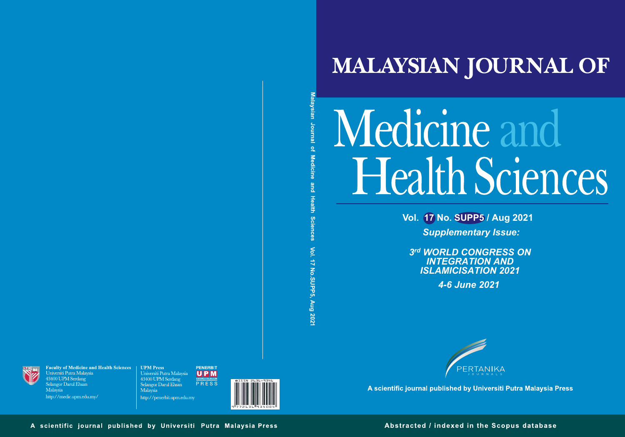

## Medicine and Health Sciences

**Vol. 17 No. SUPP5 / Aug 2021** *Supplementary Issue:* 

sian Journal of **Vol. 17 No. SUP P 5, Aug 20 21**



*3 rd WORLD CONGRESS ON INTEGRATION AND ISLAMICISATION 2021*

**Faculty of Medicine and Health Sciences** Universiti Putra Malaysia 43400 UPM Serdang Selangor Darul Ehsan Malaysia http://medic.upm.edu.my/

**UPM Press PENERBIT** Universiti Putra Malaysia  $|U|P|M$ 43400 UPM Serdang PRESS Selangor Darul Ehsan Malaysia http://penerbit.upm.edu.my





A scientific journal published by Universiti Putra Malaysia Press

A scientific journal published by Universiti Putra Malaysia Press

Abstracted / indexed in the Scopus database

## **MALAYSIAN JOURNAL OF**

*4-6 June 2021*



PERTANIKA